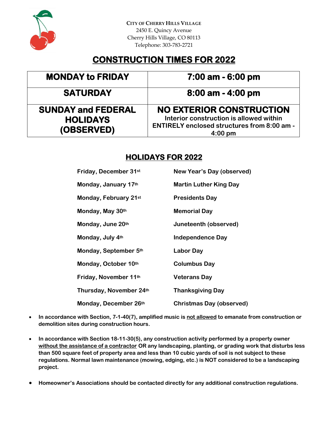

**CITY OF CHERRY HILLS VILLAGE** 2450 E. Quincy Avenue Cherry Hills Village, CO 80113 Telephone: 303-783-2721

# **CONSTRUCTION TIMES FOR 2022**

## **MONDAY to FRIDAY 7:00 am - 6:00 pm**

## **SATURDAY 8:00 am - 4:00 pm**

**SUNDAY and FEDERAL HOLIDAYS (OBSERVED)** 

## **NO EXTERIOR CONSTRUCTION**

**Interior construction is allowed within ENTIRELY enclosed structures from 8:00 am - 4:00 pm**

### **HOLIDAYS FOR 2022**

| Friday, December 31st   | <b>New Year's Day (observed)</b> |
|-------------------------|----------------------------------|
| Monday, January 17th    | <b>Martin Luther King Day</b>    |
| Monday, February 21st   | <b>Presidents Day</b>            |
| Monday, May 30th        | <b>Memorial Day</b>              |
| Monday, June 20th       | Juneteenth (observed)            |
| Monday, July 4th        | <b>Independence Day</b>          |
| Monday, September 5th   | <b>Labor Day</b>                 |
| Monday, October 10th    | <b>Columbus Day</b>              |
| Friday, November 11th   | <b>Veterans Day</b>              |
| Thursday, November 24th | <b>Thanksgiving Day</b>          |
| Monday, December 26th   | <b>Christmas Day (observed)</b>  |

- **In accordance with Section, 7-1-40(7), amplified music is not allowed to emanate from construction or demolition sites during construction hours.**
- **In accordance with Section 18-11-30(5), any construction activity performed by a property owner without the assistance of a contractor OR any landscaping, planting, or grading work that disturbs less than 500 square feet of property area and less than 10 cubic yards of soil is not subject to these regulations. Normal lawn maintenance (mowing, edging, etc.) is NOT considered to be a landscaping project.**
- **Homeowner's Associations should be contacted directly for any additional construction regulations.**